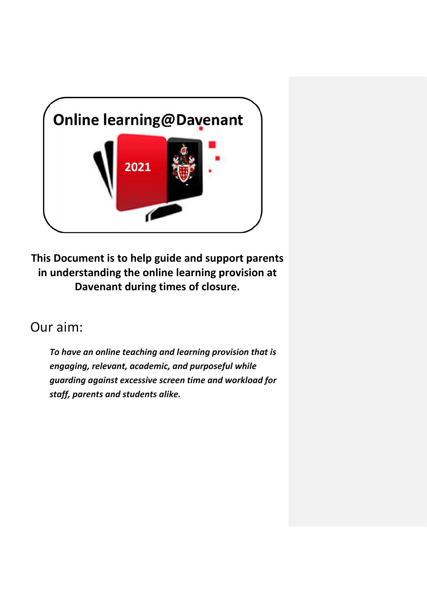

**This Document is to help guide and support parents in understanding the online learning provision at Davenant during times of closure.**

# Our aim:

*To have an online teaching and learning provision that is engaging, relevant, academic, and purposeful while guarding against excessive screen time and workload for staff, parents and students alike.*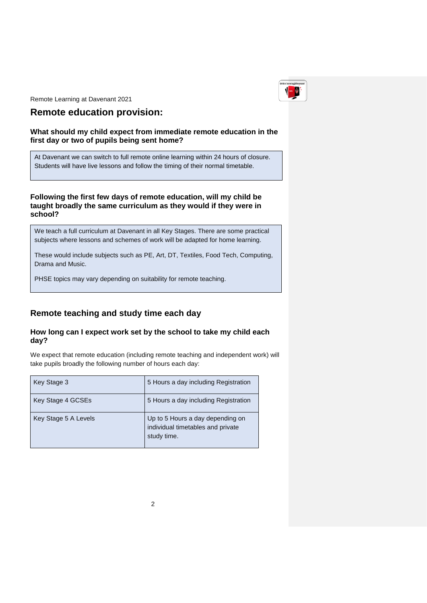

## **Remote education provision:**

### **What should my child expect from immediate remote education in the first day or two of pupils being sent home?**

At Davenant we can switch to full remote online learning within 24 hours of closure. Students will have live lessons and follow the timing of their normal timetable.

### **Following the first few days of remote education, will my child be taught broadly the same curriculum as they would if they were in school?**

We teach a full curriculum at Davenant in all Key Stages. There are some practical subjects where lessons and schemes of work will be adapted for home learning.

These would include subjects such as PE, Art, DT, Textiles, Food Tech, Computing, Drama and Music.

PHSE topics may vary depending on suitability for remote teaching.

### **Remote teaching and study time each day**

### **How long can I expect work set by the school to take my child each day?**

We expect that remote education (including remote teaching and independent work) will take pupils broadly the following number of hours each day:

| Key Stage 3          | 5 Hours a day including Registration                                                 |
|----------------------|--------------------------------------------------------------------------------------|
| Key Stage 4 GCSEs    | 5 Hours a day including Registration                                                 |
| Key Stage 5 A Levels | Up to 5 Hours a day depending on<br>individual timetables and private<br>study time. |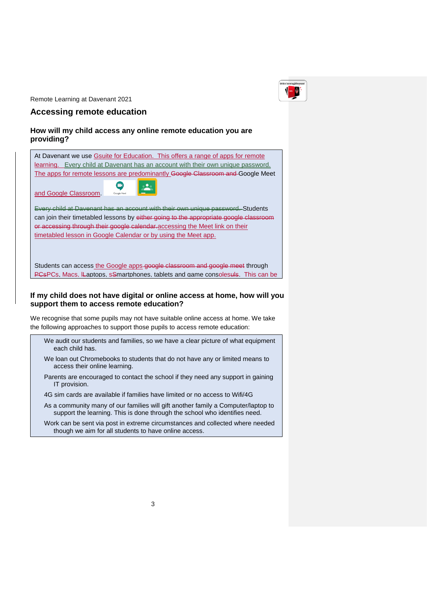

#### **Accessing remote education**

#### **How will my child access any online remote education you are providing?**

| At Davenant we use Gsuite for Education. This offers a range of apps for remote                                        |  |
|------------------------------------------------------------------------------------------------------------------------|--|
| learning. Every child at Davenant has an account with their own unique password.                                       |  |
| The apps for remote lessons are predominantly Google Classroom and Google Meet                                         |  |
| and Google Classroom.<br>Google Meet                                                                                   |  |
| Every child at Davenant has an account with their own unique password. Students                                        |  |
| can join their timetabled lessons by either going to the appropriate google classroom                                  |  |
| or accessing through their google calendar accessing the Meet link on their                                            |  |
| timetabled lesson in Google Calendar or by using the Meet app.                                                         |  |
|                                                                                                                        |  |
|                                                                                                                        |  |
|                                                                                                                        |  |
| Students can access the Google apps-google classroom and google meet through                                           |  |
| <b>PCsPCs. Macs. Laptops. s</b> Smartphones. tablets and game consolesuls. This can be                                 |  |
|                                                                                                                        |  |
| $\mathbf{r}$ , and the set of $\mathbf{r}$ , and $\mathbf{r}$ , and $\mathbf{r}$ , and $\mathbf{r}$ , and $\mathbf{r}$ |  |

### If my child does not have digital or online access at home, how will you **support them to access remote education?**

We recognise that some pupils may not have suitable online access at home. We take the following approaches to support those pupils to access remote education:

| We audit our students and families, so we have a clear picture of what equipment |
|----------------------------------------------------------------------------------|
| each child has.                                                                  |

We loan out Chromebooks to students that do not have any or limited means to access their online learning.

- Parents are encouraged to contact the school if they need any support in gaining IT provision.
- 4G sim cards are available if families have limited or no access to Wifi/4G
- As a community many of our families will gift another family a Computer/laptop to support the learning. This is done through the school who identifies need.

Work can be sent via post in extreme circumstances and collected where needed though we aim for all students to have online access.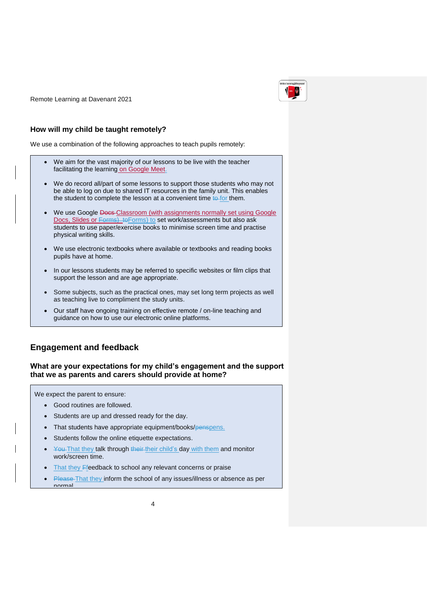

### **How will my child be taught remotely?**

We use a combination of the following approaches to teach pupils remotely:

- We aim for the vast majority of our lessons to be live with the teacher facilitating the learning on Google Meet.
- We do record all/part of some lessons to support those students who may not be able to log on due to shared IT resources in the family unit. This enables the student to complete the lesson at a convenient time  $t\theta$ -for them.
- We use Google Docs-Classroom (with assignments normally set using Google Docs, Slides or Forms) to Forms) to set work/assessments but also ask students to use paper/exercise books to minimise screen time and practise physical writing skills.
- We use electronic textbooks where available or textbooks and reading books pupils have at home.
- In our lessons students may be referred to specific websites or film clips that support the lesson and are age appropriate.
- Some subjects, such as the practical ones, may set long term projects as well as teaching live to compliment the study units.
- Our staff have ongoing training on effective remote / on-line teaching and guidance on how to use our electronic online platforms.

### **Engagement and feedback**

#### **What are your expectations for my child's engagement and the support that we as parents and carers should provide at home?**

We expect the parent to ensure:

- Good routines are followed.
- Students are up and dressed ready for the day.
- That students have appropriate equipment/books/penspens.
- Students follow the online etiquette expectations.
- You That they talk through their their child's day with them and monitor work/screen time.
- That they Ffeedback to school any relevant concerns or praise
- Please-That they inform the school of any issues/illness or absence as per normal.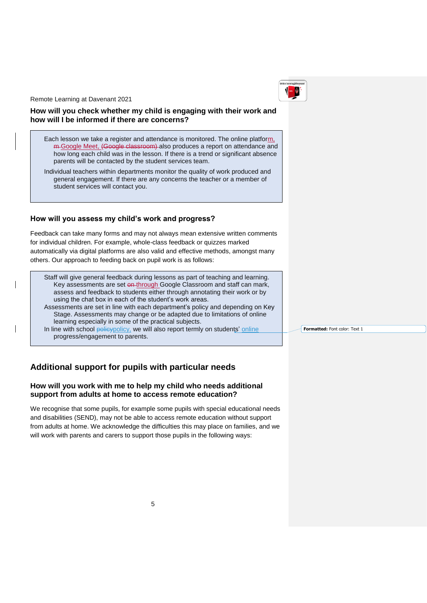

### **How will you check whether my child is engaging with their work and how will I be informed if there are concerns?**

Each lesson we take a register and attendance is monitored. The online platform, <del>m</del>-Google Meet, (Google classroom) also produces a report on attendance and how long each child was in the lesson. If there is a trend or significant absence parents will be contacted by the student services team.

Individual teachers within departments monitor the quality of work produced and general engagement. If there are any concerns the teacher or a member of student services will contact you.

### **How will you assess my child's work and progress?**

Feedback can take many forms and may not always mean extensive written comments for individual children. For example, whole-class feedback or quizzes marked automatically via digital platforms are also valid and effective methods, amongst many others. Our approach to feeding back on pupil work is as follows:

Staff will give general feedback during lessons as part of teaching and learning. Key assessments are set on-through Google Classroom and staff can mark, assess and feedback to students either through annotating their work or by using the chat box in each of the student's work areas.

Assessments are set in line with each department's policy and depending on Key Stage. Assessments may change or be adapted due to limitations of online learning especially in some of the practical subjects.

In line with school policypolicy, we will also report termly on students' online progress/engagement to parents.

### **Additional support for pupils with particular needs**

### **How will you work with me to help my child who needs additional support from adults at home to access remote education?**

We recognise that some pupils, for example some pupils with special educational needs and disabilities (SEND), may not be able to access remote education without support from adults at home. We acknowledge the difficulties this may place on families, and we will work with parents and carers to support those pupils in the following ways:

**Formatted:** Font color: Text 1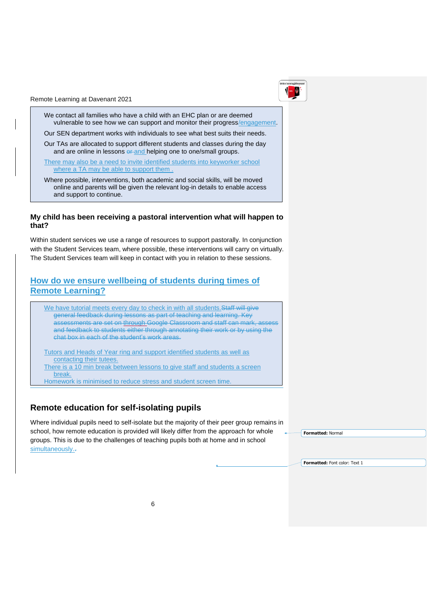We contact all families who have a child with an EHC plan or are deemed vulnerable to see how we can support and monitor their progress/engagement.

Our SEN department works with individuals to see what best suits their needs.

Our TAs are allocated to support different students and classes during the day and are online in lessons or and helping one to one/small groups.

There may also be a need to invite identified students into keyworker school where a TA may be able to support them.

Where possible, interventions, both academic and social skills, will be moved online and parents will be given the relevant log-in details to enable access and support to continue.

#### **My child has been receiving a pastoral intervention what will happen to that?**

Within student services we use a range of resources to support pastorally. In conjunction with the Student Services team, where possible, these interventions will carry on virtually. The Student Services team will keep in contact with you in relation to these sessions.

### **How do we ensure wellbeing of students during times of Remote Learning?**

We have tutorial meets every day to check in with all students. Staff will give general feedback during lessons as part of teaching and learning. Key assessments are set on through Google Classroom and staff can mark, assess and feedback to students either through annotating their work or by using the chat box in each of the student's work areas.

Tutors and Heads of Year ring and support identified students as well as contacting their tutees. There is a 10 min break between lessons to give staff and students a screen break. Homework is minimised to reduce stress and student screen time.

 $\mathcal{S}$  students will be asked to handwrite some notes and assessments to minimize  $\mathcal{S}$ 

#### **Remote education for self-isolating pupils** re education for sem-isolating pupils.

In line with school policy will also report the school policy will also report term  $\mathcal{L}$ 

Where individual pupils need to self-isolate but the majority of their peer group remains in . school, how remote education is provided will likely differ from the approach for whole groups. This is due to the challenges of teaching pupils both at home and in school  $\mathsf{simultaneously.}$ . learning especially in some of the practical subjects.

**Formatted:** Normal

**Formatted:** Font color: Text 1